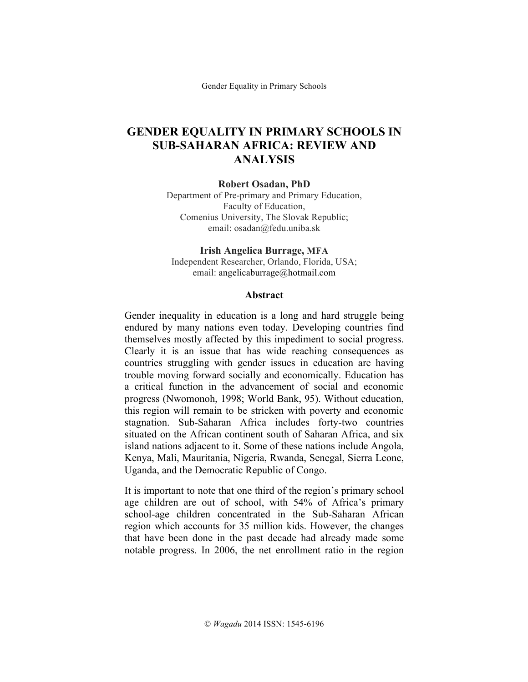Gender Equality in Primary Schools

# **GENDER EQUALITY IN PRIMARY SCHOOLS IN SUB-SAHARAN AFRICA: REVIEW AND ANALYSIS**

#### **Robert Osadan, PhD**

Department of Pre-primary and Primary Education, Faculty of Education, Comenius University, The Slovak Republic; email: osadan@fedu.uniba.sk

#### **Irish Angelica Burrage, MFA** Independent Researcher, Orlando, Florida, USA; email: angelicaburrage@hotmail.com

#### **Abstract**

Gender inequality in education is a long and hard struggle being endured by many nations even today. Developing countries find themselves mostly affected by this impediment to social progress. Clearly it is an issue that has wide reaching consequences as countries struggling with gender issues in education are having trouble moving forward socially and economically. Education has a critical function in the advancement of social and economic progress (Nwomonoh, 1998; World Bank, 95). Without education, this region will remain to be stricken with poverty and economic stagnation. Sub-Saharan Africa includes forty-two countries situated on the African continent south of Saharan Africa, and six island nations adjacent to it. Some of these nations include Angola, Kenya, Mali, Mauritania, Nigeria, Rwanda, Senegal, Sierra Leone, Uganda, and the Democratic Republic of Congo.

It is important to note that one third of the region's primary school age children are out of school, with 54% of Africa's primary school-age children concentrated in the Sub-Saharan African region which accounts for 35 million kids. However, the changes that have been done in the past decade had already made some notable progress. In 2006, the net enrollment ratio in the region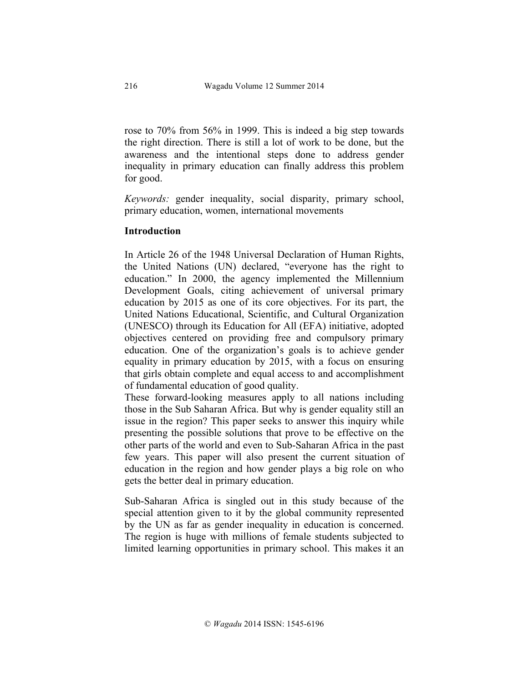rose to 70% from 56% in 1999. This is indeed a big step towards the right direction. There is still a lot of work to be done, but the awareness and the intentional steps done to address gender inequality in primary education can finally address this problem for good.

*Keywords:* gender inequality, social disparity, primary school, primary education, women, international movements

# **Introduction**

In Article 26 of the 1948 Universal Declaration of Human Rights, the United Nations (UN) declared, "everyone has the right to education." In 2000, the agency implemented the Millennium Development Goals, citing achievement of universal primary education by 2015 as one of its core objectives. For its part, the United Nations Educational, Scientific, and Cultural Organization (UNESCO) through its Education for All (EFA) initiative, adopted objectives centered on providing free and compulsory primary education. One of the organization's goals is to achieve gender equality in primary education by 2015, with a focus on ensuring that girls obtain complete and equal access to and accomplishment of fundamental education of good quality.

These forward-looking measures apply to all nations including those in the Sub Saharan Africa. But why is gender equality still an issue in the region? This paper seeks to answer this inquiry while presenting the possible solutions that prove to be effective on the other parts of the world and even to Sub-Saharan Africa in the past few years. This paper will also present the current situation of education in the region and how gender plays a big role on who gets the better deal in primary education.

Sub-Saharan Africa is singled out in this study because of the special attention given to it by the global community represented by the UN as far as gender inequality in education is concerned. The region is huge with millions of female students subjected to limited learning opportunities in primary school. This makes it an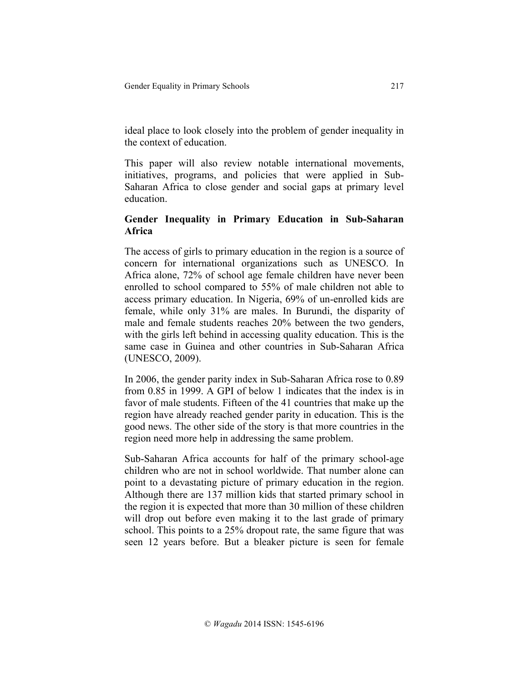ideal place to look closely into the problem of gender inequality in the context of education.

This paper will also review notable international movements, initiatives, programs, and policies that were applied in Sub-Saharan Africa to close gender and social gaps at primary level education.

# **Gender Inequality in Primary Education in Sub-Saharan Africa**

The access of girls to primary education in the region is a source of concern for international organizations such as UNESCO. In Africa alone, 72% of school age female children have never been enrolled to school compared to 55% of male children not able to access primary education. In Nigeria, 69% of un-enrolled kids are female, while only 31% are males. In Burundi, the disparity of male and female students reaches 20% between the two genders, with the girls left behind in accessing quality education. This is the same case in Guinea and other countries in Sub-Saharan Africa (UNESCO, 2009).

In 2006, the gender parity index in Sub-Saharan Africa rose to 0.89 from 0.85 in 1999. A GPI of below 1 indicates that the index is in favor of male students. Fifteen of the 41 countries that make up the region have already reached gender parity in education. This is the good news. The other side of the story is that more countries in the region need more help in addressing the same problem.

Sub-Saharan Africa accounts for half of the primary school-age children who are not in school worldwide. That number alone can point to a devastating picture of primary education in the region. Although there are 137 million kids that started primary school in the region it is expected that more than 30 million of these children will drop out before even making it to the last grade of primary school. This points to a 25% dropout rate, the same figure that was seen 12 years before. But a bleaker picture is seen for female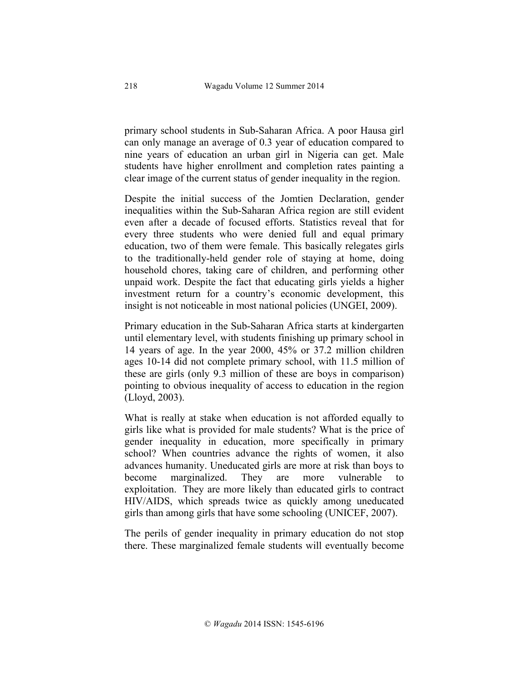primary school students in Sub-Saharan Africa. A poor Hausa girl can only manage an average of 0.3 year of education compared to nine years of education an urban girl in Nigeria can get. Male students have higher enrollment and completion rates painting a clear image of the current status of gender inequality in the region.

Despite the initial success of the Jomtien Declaration, gender inequalities within the Sub-Saharan Africa region are still evident even after a decade of focused efforts. Statistics reveal that for every three students who were denied full and equal primary education, two of them were female. This basically relegates girls to the traditionally-held gender role of staying at home, doing household chores, taking care of children, and performing other unpaid work. Despite the fact that educating girls yields a higher investment return for a country's economic development, this insight is not noticeable in most national policies (UNGEI, 2009).

Primary education in the Sub-Saharan Africa starts at kindergarten until elementary level, with students finishing up primary school in 14 years of age. In the year 2000, 45% or 37.2 million children ages 10-14 did not complete primary school, with 11.5 million of these are girls (only 9.3 million of these are boys in comparison) pointing to obvious inequality of access to education in the region (Lloyd, 2003).

What is really at stake when education is not afforded equally to girls like what is provided for male students? What is the price of gender inequality in education, more specifically in primary school? When countries advance the rights of women, it also advances humanity. Uneducated girls are more at risk than boys to become marginalized. They are more vulnerable to exploitation. They are more likely than educated girls to contract HIV/AIDS, which spreads twice as quickly among uneducated girls than among girls that have some schooling (UNICEF, 2007).

The perils of gender inequality in primary education do not stop there. These marginalized female students will eventually become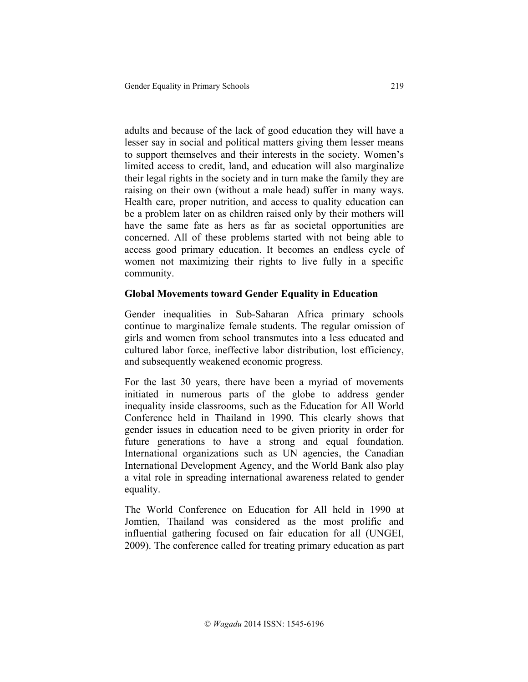adults and because of the lack of good education they will have a lesser say in social and political matters giving them lesser means to support themselves and their interests in the society. Women's limited access to credit, land, and education will also marginalize their legal rights in the society and in turn make the family they are raising on their own (without a male head) suffer in many ways. Health care, proper nutrition, and access to quality education can be a problem later on as children raised only by their mothers will have the same fate as hers as far as societal opportunities are concerned. All of these problems started with not being able to access good primary education. It becomes an endless cycle of women not maximizing their rights to live fully in a specific community.

# **Global Movements toward Gender Equality in Education**

Gender inequalities in Sub-Saharan Africa primary schools continue to marginalize female students. The regular omission of girls and women from school transmutes into a less educated and cultured labor force, ineffective labor distribution, lost efficiency, and subsequently weakened economic progress.

For the last 30 years, there have been a myriad of movements initiated in numerous parts of the globe to address gender inequality inside classrooms, such as the Education for All World Conference held in Thailand in 1990. This clearly shows that gender issues in education need to be given priority in order for future generations to have a strong and equal foundation. International organizations such as UN agencies, the Canadian International Development Agency, and the World Bank also play a vital role in spreading international awareness related to gender equality.

The World Conference on Education for All held in 1990 at Jomtien, Thailand was considered as the most prolific and influential gathering focused on fair education for all (UNGEI, 2009). The conference called for treating primary education as part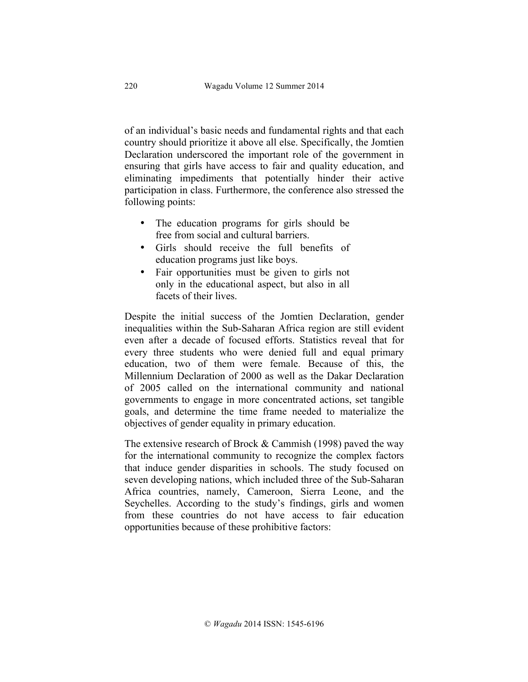of an individual's basic needs and fundamental rights and that each country should prioritize it above all else. Specifically, the Jomtien Declaration underscored the important role of the government in ensuring that girls have access to fair and quality education, and eliminating impediments that potentially hinder their active participation in class. Furthermore, the conference also stressed the following points:

- The education programs for girls should be free from social and cultural barriers.
- Girls should receive the full benefits of education programs just like boys.
- Fair opportunities must be given to girls not only in the educational aspect, but also in all facets of their lives.

Despite the initial success of the Jomtien Declaration, gender inequalities within the Sub-Saharan Africa region are still evident even after a decade of focused efforts. Statistics reveal that for every three students who were denied full and equal primary education, two of them were female. Because of this, the Millennium Declaration of 2000 as well as the Dakar Declaration of 2005 called on the international community and national governments to engage in more concentrated actions, set tangible goals, and determine the time frame needed to materialize the objectives of gender equality in primary education.

The extensive research of Brock  $&$  Cammish (1998) paved the way for the international community to recognize the complex factors that induce gender disparities in schools. The study focused on seven developing nations, which included three of the Sub-Saharan Africa countries, namely, Cameroon, Sierra Leone, and the Seychelles. According to the study's findings, girls and women from these countries do not have access to fair education opportunities because of these prohibitive factors: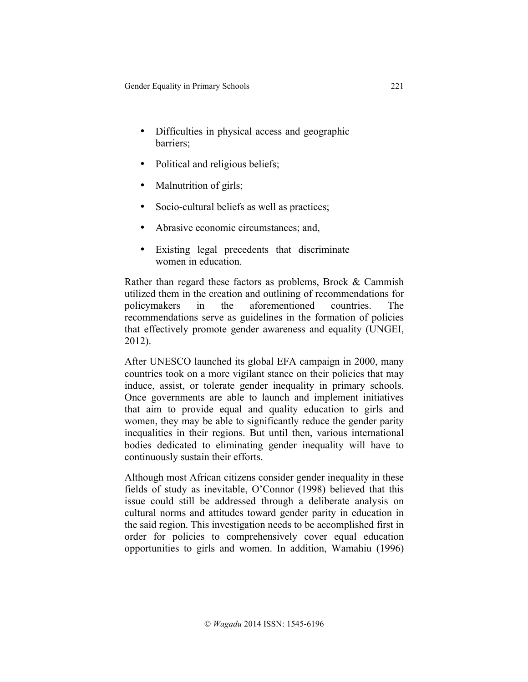- Difficulties in physical access and geographic barriers;
- Political and religious beliefs;
- Malnutrition of girls;
- Socio-cultural beliefs as well as practices;
- Abrasive economic circumstances; and,
- Existing legal precedents that discriminate women in education.

Rather than regard these factors as problems, Brock & Cammish utilized them in the creation and outlining of recommendations for policymakers in the aforementioned countries. The recommendations serve as guidelines in the formation of policies that effectively promote gender awareness and equality (UNGEI, 2012).

After UNESCO launched its global EFA campaign in 2000, many countries took on a more vigilant stance on their policies that may induce, assist, or tolerate gender inequality in primary schools. Once governments are able to launch and implement initiatives that aim to provide equal and quality education to girls and women, they may be able to significantly reduce the gender parity inequalities in their regions. But until then, various international bodies dedicated to eliminating gender inequality will have to continuously sustain their efforts.

Although most African citizens consider gender inequality in these fields of study as inevitable, O'Connor (1998) believed that this issue could still be addressed through a deliberate analysis on cultural norms and attitudes toward gender parity in education in the said region. This investigation needs to be accomplished first in order for policies to comprehensively cover equal education opportunities to girls and women. In addition, Wamahiu (1996)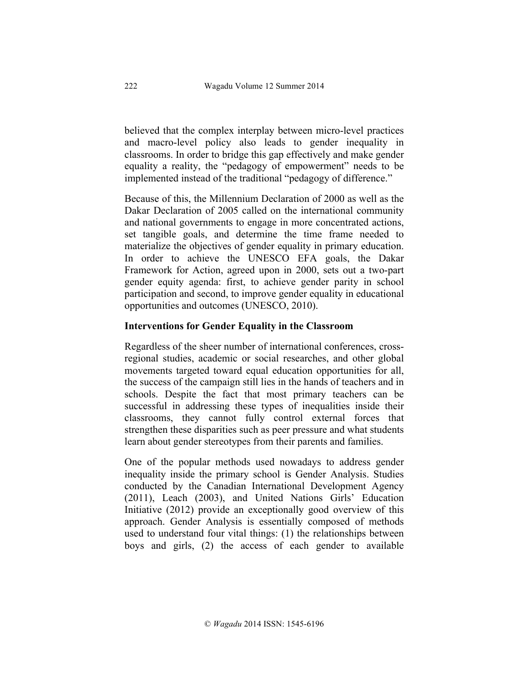believed that the complex interplay between micro-level practices and macro-level policy also leads to gender inequality in classrooms. In order to bridge this gap effectively and make gender equality a reality, the "pedagogy of empowerment" needs to be implemented instead of the traditional "pedagogy of difference."

Because of this, the Millennium Declaration of 2000 as well as the Dakar Declaration of 2005 called on the international community and national governments to engage in more concentrated actions, set tangible goals, and determine the time frame needed to materialize the objectives of gender equality in primary education. In order to achieve the UNESCO EFA goals, the Dakar Framework for Action, agreed upon in 2000, sets out a two-part gender equity agenda: first, to achieve gender parity in school participation and second, to improve gender equality in educational opportunities and outcomes (UNESCO, 2010).

# **Interventions for Gender Equality in the Classroom**

Regardless of the sheer number of international conferences, crossregional studies, academic or social researches, and other global movements targeted toward equal education opportunities for all, the success of the campaign still lies in the hands of teachers and in schools. Despite the fact that most primary teachers can be successful in addressing these types of inequalities inside their classrooms, they cannot fully control external forces that strengthen these disparities such as peer pressure and what students learn about gender stereotypes from their parents and families.

One of the popular methods used nowadays to address gender inequality inside the primary school is Gender Analysis. Studies conducted by the Canadian International Development Agency (2011), Leach (2003), and United Nations Girls' Education Initiative (2012) provide an exceptionally good overview of this approach. Gender Analysis is essentially composed of methods used to understand four vital things: (1) the relationships between boys and girls, (2) the access of each gender to available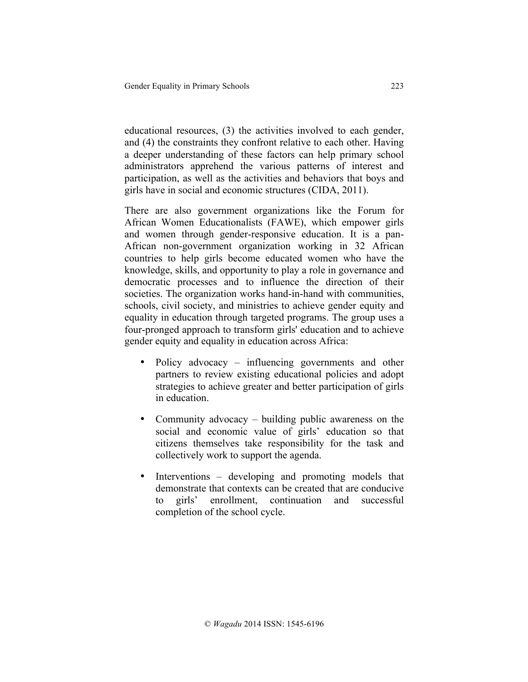educational resources, (3) the activities involved to each gender, and (4) the constraints they confront relative to each other. Having a deeper understanding of these factors can help primary school administrators apprehend the various patterns of interest and participation, as well as the activities and behaviors that boys and girls have in social and economic structures (CIDA, 2011).

There are also government organizations like the Forum for African Women Educationalists (FAWE), which empower girls and women through gender-responsive education. It is a pan-African non-government organization working in 32 African countries to help girls become educated women who have the knowledge, skills, and opportunity to play a role in governance and democratic processes and to influence the direction of their societies. The organization works hand-in-hand with communities, schools, civil society, and ministries to achieve gender equity and equality in education through targeted programs. The group uses a four-pronged approach to transform girls' education and to achieve gender equity and equality in education across Africa:

- Policy advocacy influencing governments and other partners to review existing educational policies and adopt strategies to achieve greater and better participation of girls in education.
- Community advocacy building public awareness on the social and economic value of girls' education so that citizens themselves take responsibility for the task and collectively work to support the agenda.
- Interventions developing and promoting models that demonstrate that contexts can be created that are conducive to girls' enrollment, continuation and successful completion of the school cycle.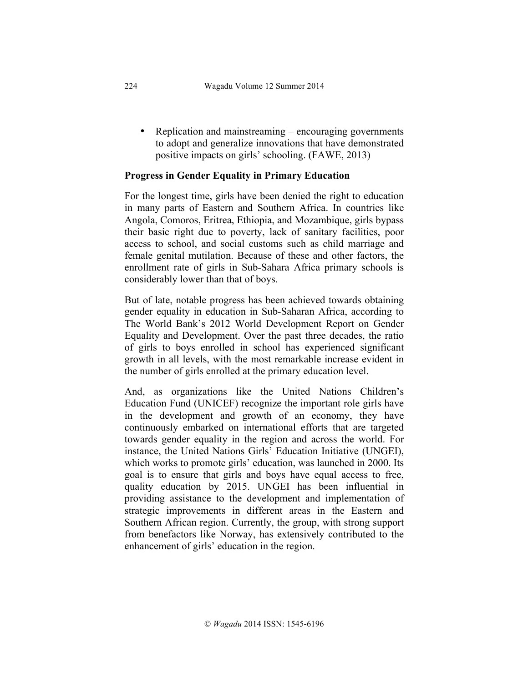• Replication and mainstreaming – encouraging governments to adopt and generalize innovations that have demonstrated positive impacts on girls' schooling. (FAWE, 2013)

# **Progress in Gender Equality in Primary Education**

For the longest time, girls have been denied the right to education in many parts of Eastern and Southern Africa. In countries like Angola, Comoros, Eritrea, Ethiopia, and Mozambique, girls bypass their basic right due to poverty, lack of sanitary facilities, poor access to school, and social customs such as child marriage and female genital mutilation. Because of these and other factors, the enrollment rate of girls in Sub-Sahara Africa primary schools is considerably lower than that of boys.

But of late, notable progress has been achieved towards obtaining gender equality in education in Sub-Saharan Africa, according to The World Bank's 2012 World Development Report on Gender Equality and Development. Over the past three decades, the ratio of girls to boys enrolled in school has experienced significant growth in all levels, with the most remarkable increase evident in the number of girls enrolled at the primary education level.

And, as organizations like the United Nations Children's Education Fund (UNICEF) recognize the important role girls have in the development and growth of an economy, they have continuously embarked on international efforts that are targeted towards gender equality in the region and across the world. For instance, the United Nations Girls' Education Initiative (UNGEI), which works to promote girls' education, was launched in 2000. Its goal is to ensure that girls and boys have equal access to free, quality education by 2015. UNGEI has been influential in providing assistance to the development and implementation of strategic improvements in different areas in the Eastern and Southern African region. Currently, the group, with strong support from benefactors like Norway, has extensively contributed to the enhancement of girls' education in the region.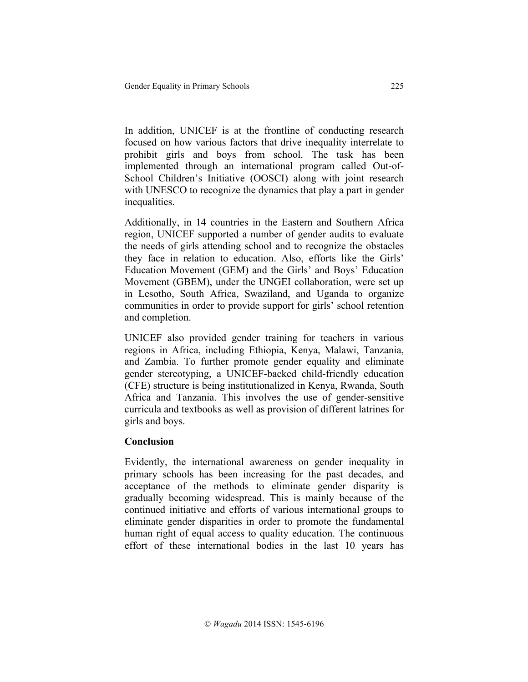In addition, UNICEF is at the frontline of conducting research focused on how various factors that drive inequality interrelate to prohibit girls and boys from school. The task has been implemented through an international program called Out-of-School Children's Initiative (OOSCI) along with joint research with UNESCO to recognize the dynamics that play a part in gender inequalities.

Additionally, in 14 countries in the Eastern and Southern Africa region, UNICEF supported a number of gender audits to evaluate the needs of girls attending school and to recognize the obstacles they face in relation to education. Also, efforts like the Girls' Education Movement (GEM) and the Girls' and Boys' Education Movement (GBEM), under the UNGEI collaboration, were set up in Lesotho, South Africa, Swaziland, and Uganda to organize communities in order to provide support for girls' school retention and completion.

UNICEF also provided gender training for teachers in various regions in Africa, including Ethiopia, Kenya, Malawi, Tanzania, and Zambia. To further promote gender equality and eliminate gender stereotyping, a UNICEF-backed child-friendly education (CFE) structure is being institutionalized in Kenya, Rwanda, South Africa and Tanzania. This involves the use of gender-sensitive curricula and textbooks as well as provision of different latrines for girls and boys.

#### **Conclusion**

Evidently, the international awareness on gender inequality in primary schools has been increasing for the past decades, and acceptance of the methods to eliminate gender disparity is gradually becoming widespread. This is mainly because of the continued initiative and efforts of various international groups to eliminate gender disparities in order to promote the fundamental human right of equal access to quality education. The continuous effort of these international bodies in the last 10 years has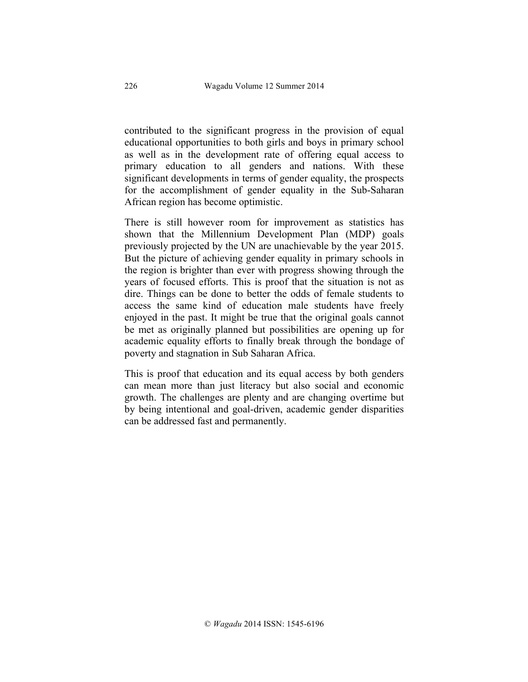contributed to the significant progress in the provision of equal educational opportunities to both girls and boys in primary school as well as in the development rate of offering equal access to primary education to all genders and nations. With these significant developments in terms of gender equality, the prospects for the accomplishment of gender equality in the Sub-Saharan African region has become optimistic.

There is still however room for improvement as statistics has shown that the Millennium Development Plan (MDP) goals previously projected by the UN are unachievable by the year 2015. But the picture of achieving gender equality in primary schools in the region is brighter than ever with progress showing through the years of focused efforts. This is proof that the situation is not as dire. Things can be done to better the odds of female students to access the same kind of education male students have freely enjoyed in the past. It might be true that the original goals cannot be met as originally planned but possibilities are opening up for academic equality efforts to finally break through the bondage of poverty and stagnation in Sub Saharan Africa.

This is proof that education and its equal access by both genders can mean more than just literacy but also social and economic growth. The challenges are plenty and are changing overtime but by being intentional and goal-driven, academic gender disparities can be addressed fast and permanently.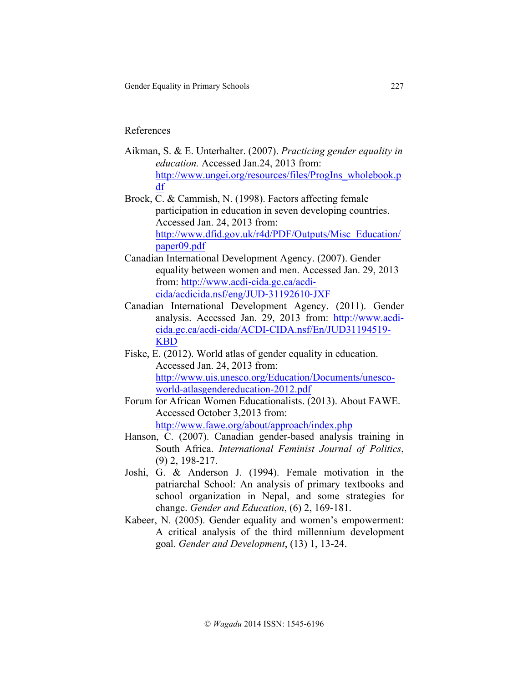#### References

- Aikman, S. & E. Unterhalter. (2007). *Practicing gender equality in education.* Accessed Jan.24, 2013 from: http://www.ungei.org/resources/files/ProgIns\_wholebook.p df
- Brock, C. & Cammish, N. (1998). Factors affecting female participation in education in seven developing countries. Accessed Jan. 24, 2013 from: http://www.dfid.gov.uk/r4d/PDF/Outputs/Misc\_Education/ paper09.pdf
- Canadian International Development Agency. (2007). Gender equality between women and men. Accessed Jan. 29, 2013 from: http://www.acdi-cida.gc.ca/acdicida/acdicida.nsf/eng/JUD-31192610-JXF
- Canadian International Development Agency. (2011). Gender analysis. Accessed Jan. 29, 2013 from: http://www.acdicida.gc.ca/acdi-cida/ACDI-CIDA.nsf/En/JUD31194519- KBD
- Fiske, E. (2012). World atlas of gender equality in education. Accessed Jan. 24, 2013 from: http://www.uis.unesco.org/Education/Documents/unescoworld-atlasgendereducation-2012.pdf
- Forum for African Women Educationalists. (2013). About FAWE. Accessed October 3,2013 from: http://www.fawe.org/about/approach/index.php
- Hanson, C. (2007). Canadian gender-based analysis training in South Africa. *International Feminist Journal of Politics*, (9) 2, 198-217.
- Joshi, G. & Anderson J. (1994). Female motivation in the patriarchal School: An analysis of primary textbooks and school organization in Nepal, and some strategies for change. *Gender and Education*, (6) 2, 169-181.
- Kabeer, N. (2005). Gender equality and women's empowerment: A critical analysis of the third millennium development goal. *Gender and Development*, (13) 1, 13-24.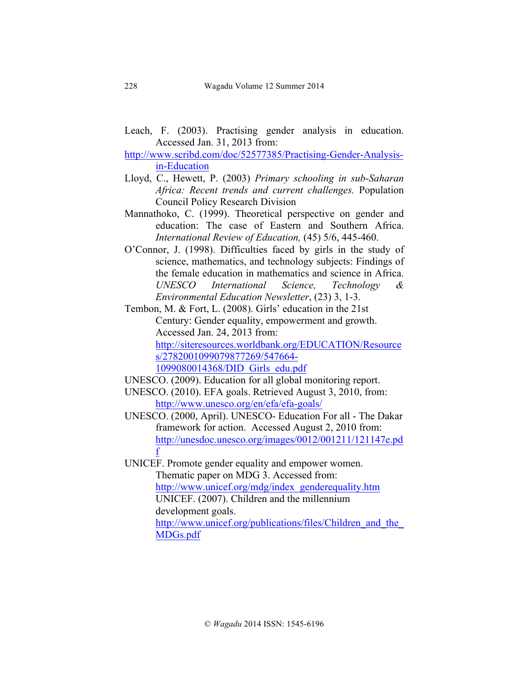- Leach, F. (2003). Practising gender analysis in education. Accessed Jan. 31, 2013 from:
- http://www.scribd.com/doc/52577385/Practising-Gender-Analysisin-Education
- Lloyd, C., Hewett, P. (2003) *Primary schooling in sub-Saharan Africa: Recent trends and current challenges.* Population Council Policy Research Division
- Mannathoko, C. (1999). Theoretical perspective on gender and education: The case of Eastern and Southern Africa. *International Review of Education,* (45) 5/6, 445-460.
- O'Connor, J. (1998). Difficulties faced by girls in the study of science, mathematics, and technology subjects: Findings of the female education in mathematics and science in Africa. *UNESCO International Science, Technology & Environmental Education Newsletter*, (23) 3, 1-3.
- Tembon, M. & Fort, L. (2008). Girls' education in the 21st Century: Gender equality, empowerment and growth. Accessed Jan. 24, 2013 from: http://siteresources.worldbank.org/EDUCATION/Resource s/2782001099079877269/547664-

1099080014368/DID\_Girls\_edu.pdf

- UNESCO. (2009). Education for all global monitoring report.
- UNESCO. (2010). EFA goals. Retrieved August 3, 2010, from: http://www.unesco.org/en/efa/efa-goals/
- UNESCO. (2000, April). UNESCO- Education For all The Dakar framework for action. Accessed August 2, 2010 from: http://unesdoc.unesco.org/images/0012/001211/121147e.pd f
- UNICEF. Promote gender equality and empower women. Thematic paper on MDG 3. Accessed from: http://www.unicef.org/mdg/index\_genderequality.htm UNICEF. (2007). Children and the millennium development goals. http://www.unicef.org/publications/files/Children and the MDGs.pdf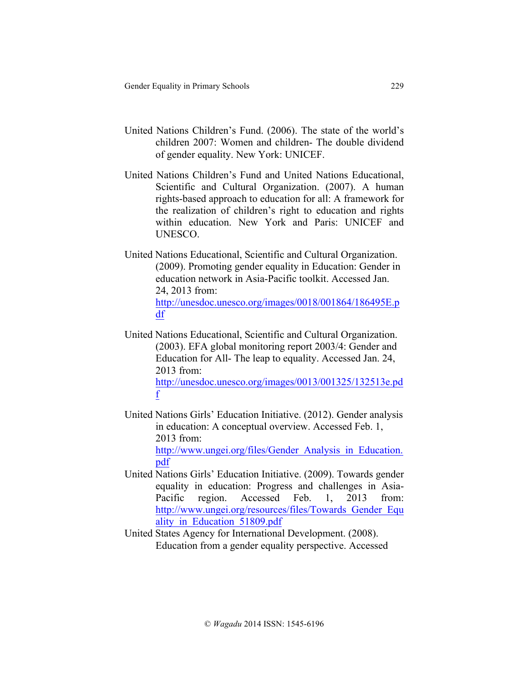f

- United Nations Children's Fund. (2006). The state of the world's children 2007: Women and children- The double dividend of gender equality. New York: UNICEF.
- United Nations Children's Fund and United Nations Educational, Scientific and Cultural Organization. (2007). A human rights-based approach to education for all: A framework for the realization of children's right to education and rights within education. New York and Paris: UNICEF and UNESCO.
- United Nations Educational, Scientific and Cultural Organization. (2009). Promoting gender equality in Education: Gender in education network in Asia-Pacific toolkit. Accessed Jan. 24, 2013 from: http://unesdoc.unesco.org/images/0018/001864/186495E.p df
- United Nations Educational, Scientific and Cultural Organization. (2003). EFA global monitoring report 2003/4: Gender and Education for All- The leap to equality. Accessed Jan. 24, 2013 from: http://unesdoc.unesco.org/images/0013/001325/132513e.pd
- United Nations Girls' Education Initiative. (2012). Gender analysis in education: A conceptual overview. Accessed Feb. 1, 2013 from:

http://www.ungei.org/files/Gender Analysis in Education. pdf

- United Nations Girls' Education Initiative. (2009). Towards gender equality in education: Progress and challenges in Asia-Pacific region. Accessed Feb. 1, 2013 from: http://www.ungei.org/resources/files/Towards\_Gender\_Equ ality\_in\_Education\_51809.pdf
- United States Agency for International Development. (2008). Education from a gender equality perspective. Accessed